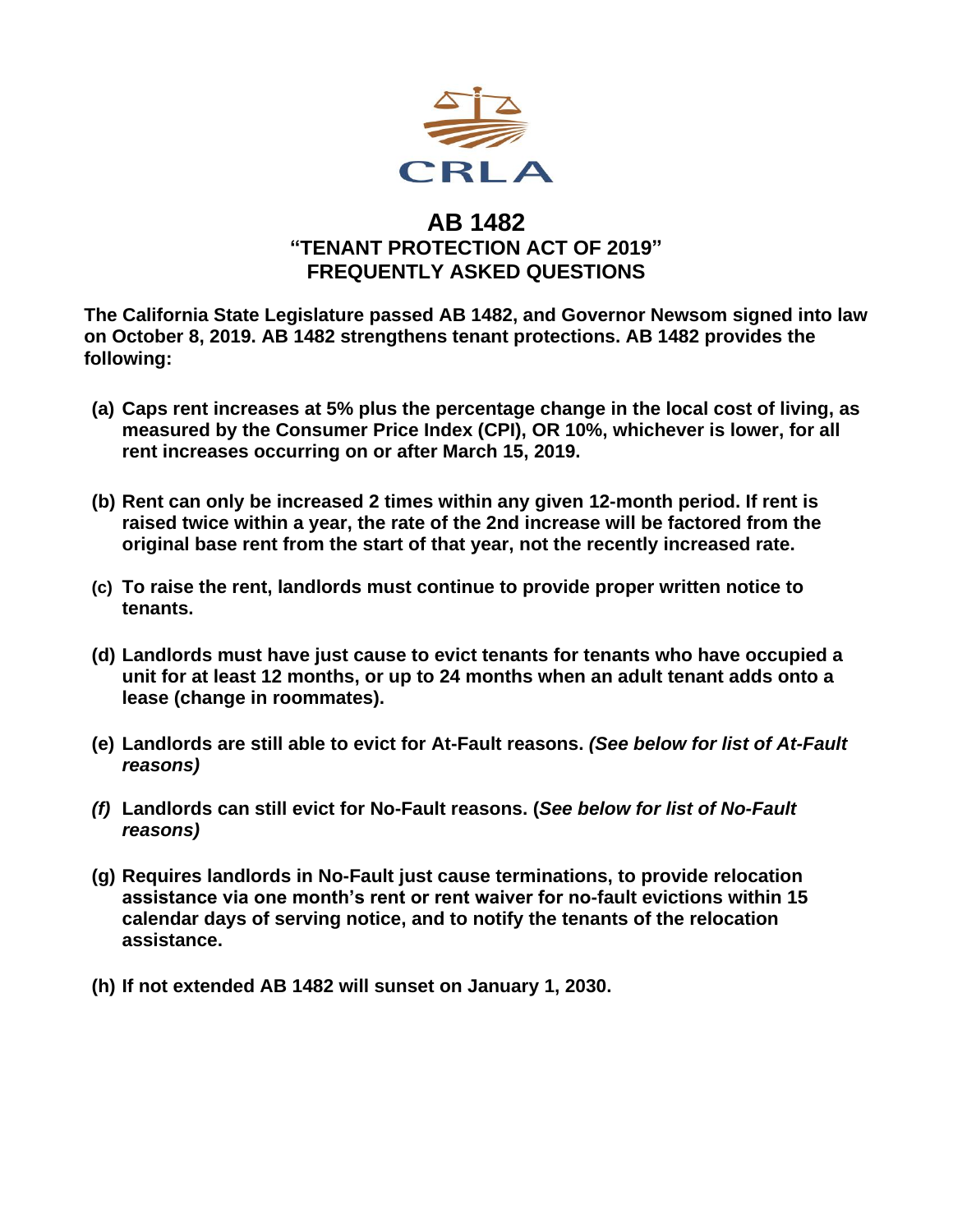

## **AB 1482 "TENANT PROTECTION ACT OF 2019" FREQUENTLY ASKED QUESTIONS**

**The California State Legislature passed AB 1482, and Governor Newsom signed into law on October 8, 2019. AB 1482 strengthens tenant protections. AB 1482 provides the following:**

- **(a) Caps rent increases at 5% plus the percentage change in the local cost of living, as measured by the Consumer Price Index (CPI), OR 10%, whichever is lower, for all rent increases occurring on or after March 15, 2019.**
- **(b) Rent can only be increased 2 times within any given 12-month period. If rent is raised twice within a year, the rate of the 2nd increase will be factored from the original base rent from the start of that year, not the recently increased rate.**
- **(c) To raise the rent, landlords must continue to provide proper written notice to tenants.**
- **(d) Landlords must have just cause to evict tenants for tenants who have occupied a unit for at least 12 months, or up to 24 months when an adult tenant adds onto a lease (change in roommates).**
- **(e) Landlords are still able to evict for At-Fault reasons.** *(See below for list of At-Fault reasons)*
- *(f)* **Landlords can still evict for No-Fault reasons. (***See below for list of No-Fault reasons)*
- **(g) Requires landlords in No-Fault just cause terminations, to provide relocation assistance via one month's rent or rent waiver for no-fault evictions within 15 calendar days of serving notice, and to notify the tenants of the relocation assistance.**
- **(h) If not extended AB 1482 will sunset on January 1, 2030.**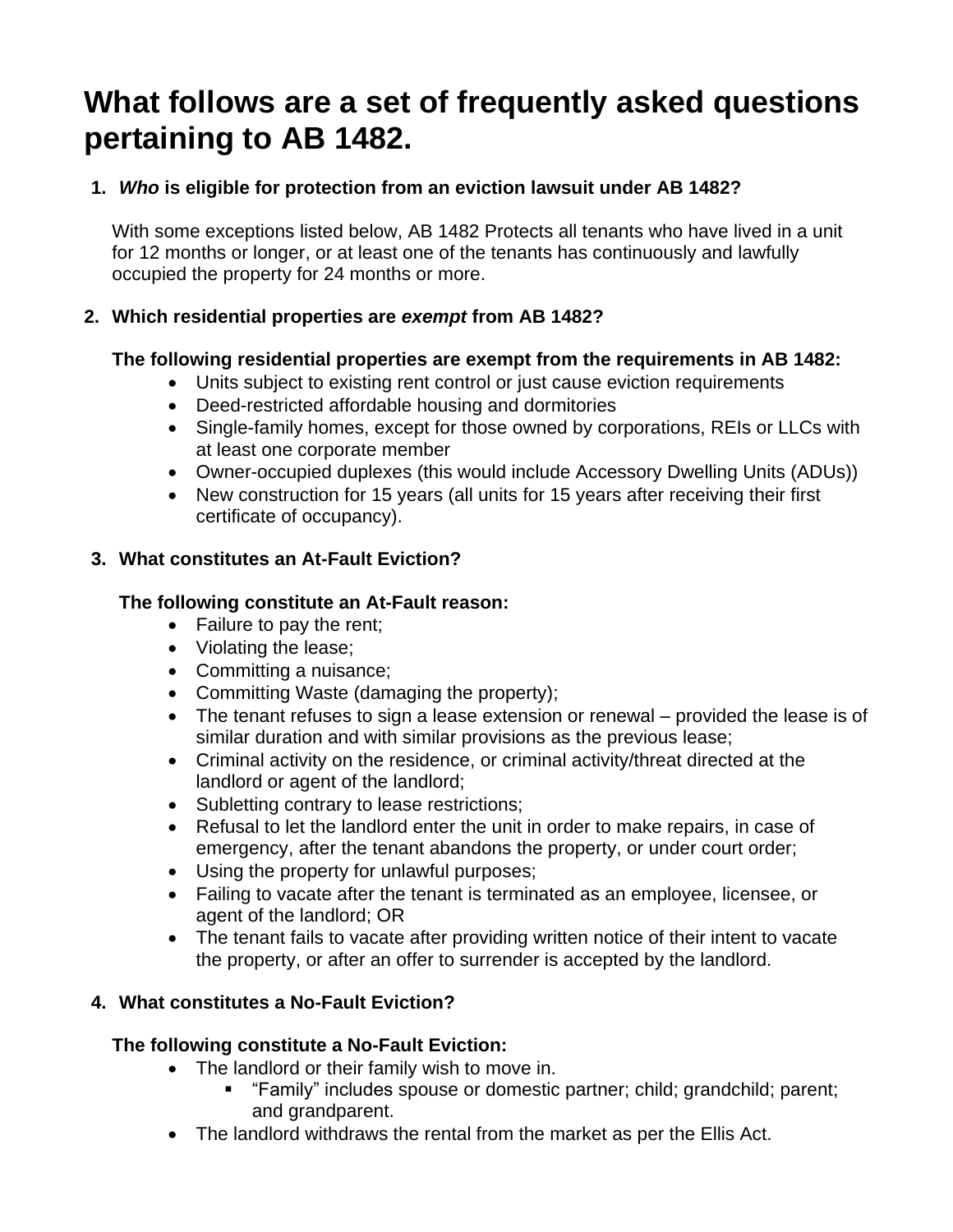# **What follows are a set of frequently asked questions pertaining to AB 1482.**

## **1.** *Who* **is eligible for protection from an eviction lawsuit under AB 1482?**

With some exceptions listed below, AB 1482 Protects all tenants who have lived in a unit for 12 months or longer, or at least one of the tenants has continuously and lawfully occupied the property for 24 months or more.

## **2. Which residential properties are** *exempt* **from AB 1482?**

## **The following residential properties are exempt from the requirements in AB 1482:**

- Units subject to existing rent control or just cause eviction requirements
- Deed-restricted affordable housing and dormitories
- Single-family homes, except for those owned by corporations, REIs or LLCs with at least one corporate member
- Owner-occupied duplexes (this would include Accessory Dwelling Units (ADUs))
- New construction for 15 years (all units for 15 years after receiving their first certificate of occupancy).

### **3. What constitutes an At-Fault Eviction?**

## **The following constitute an At-Fault reason:**

- Failure to pay the rent;
- Violating the lease;
- Committing a nuisance;
- Committing Waste (damaging the property);
- The tenant refuses to sign a lease extension or renewal provided the lease is of similar duration and with similar provisions as the previous lease;
- Criminal activity on the residence, or criminal activity/threat directed at the landlord or agent of the landlord;
- Subletting contrary to lease restrictions;
- Refusal to let the landlord enter the unit in order to make repairs, in case of emergency, after the tenant abandons the property, or under court order;
- Using the property for unlawful purposes;
- Failing to vacate after the tenant is terminated as an employee, licensee, or agent of the landlord; OR
- The tenant fails to vacate after providing written notice of their intent to vacate the property, or after an offer to surrender is accepted by the landlord.

## **4. What constitutes a No-Fault Eviction?**

## **The following constitute a No-Fault Eviction:**

- The landlord or their family wish to move in.
	- "Family" includes spouse or domestic partner; child; grandchild; parent; and grandparent.
- The landlord withdraws the rental from the market as per the Ellis Act.